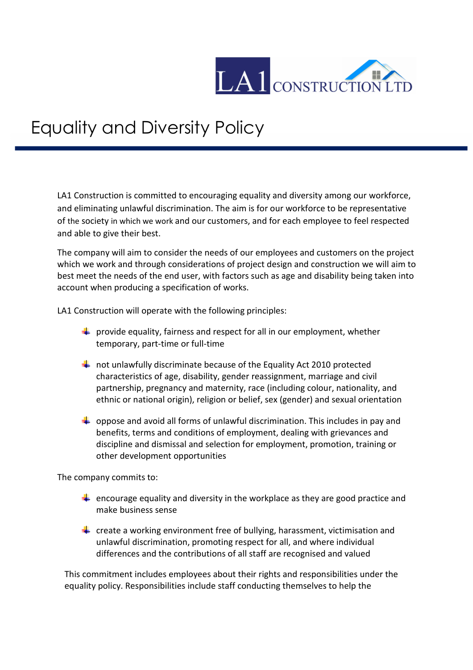

## Equality and Diversity Policy

LA1 Construction is committed to encouraging equality and diversity among our workforce, and eliminating unlawful discrimination. The aim is for our workforce to be representative of the society in which we work and our customers, and for each employee to feel respected and able to give their best.

The company will aim to consider the needs of our employees and customers on the project which we work and through considerations of project design and construction we will aim to best meet the needs of the end user, with factors such as age and disability being taken into account when producing a specification of works.

LA1 Construction will operate with the following principles:

- $\frac{1}{2}$  provide equality, fairness and respect for all in our employment, whether temporary, part-time or full-time
- $\ddot$  not unlawfully discriminate because of the Equality Act 2010 protected characteristics of age, disability, gender reassignment, marriage and civil partnership, pregnancy and maternity, race (including colour, nationality, and ethnic or national origin), religion or belief, sex (gender) and sexual orientation
- $\downarrow$  oppose and avoid all forms of unlawful discrimination. This includes in pay and benefits, terms and conditions of employment, dealing with grievances and discipline and dismissal and selection for employment, promotion, training or other development opportunities

The company commits to:

- **E** encourage equality and diversity in the workplace as they are good practice and make business sense
- $\ddot{\phantom{1}}$  create a working environment free of bullying, harassment, victimisation and unlawful discrimination, promoting respect for all, and where individual differences and the contributions of all staff are recognised and valued

This commitment includes employees about their rights and responsibilities under the equality policy. Responsibilities include staff conducting themselves to help the